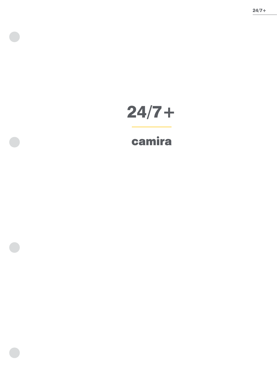

# 24/7+

## camira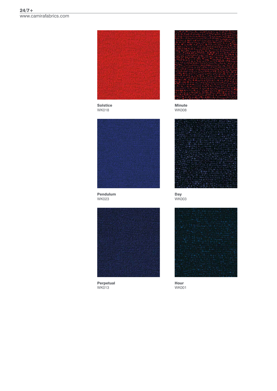

**Solstice WK018** 



**Minute WK008** 



Pendulum **WK023** 



**Perpetual**<br>WK013



Day<br>WK003



Hour **WK001**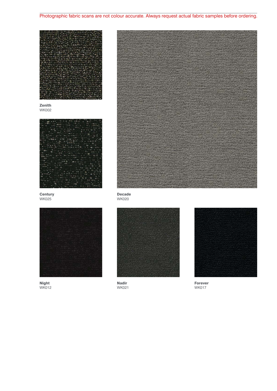## Photographic fabric scans are not colour accurate. Always request actual fabric samples before ordering.



Zenith WK002



**Century** WK025



Night WK012



Decade WK020



Nadir WK021



Forever WK017